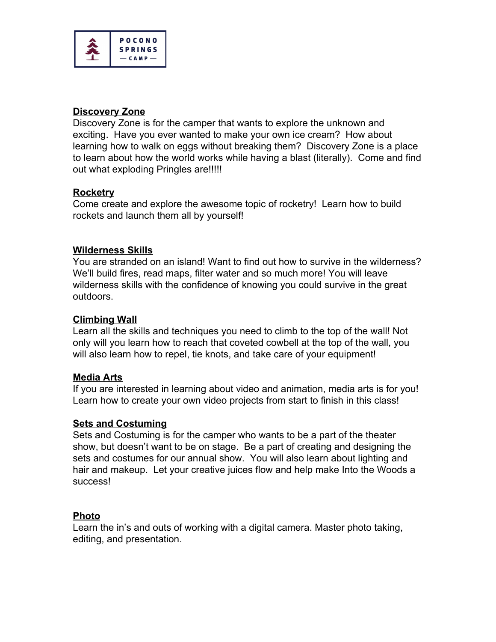

#### **Discovery Zone**

Discovery Zone is for the camper that wants to explore the unknown and exciting. Have you ever wanted to make your own ice cream? How about learning how to walk on eggs without breaking them? Discovery Zone is a place to learn about how the world works while having a blast (literally). Come and find out what exploding Pringles are!!!!!

#### **Rocketry**

Come create and explore the awesome topic of rocketry! Learn how to build rockets and launch them all by yourself!

#### **Wilderness Skills**

You are stranded on an island! Want to find out how to survive in the wilderness? We'll build fires, read maps, filter water and so much more! You will leave wilderness skills with the confidence of knowing you could survive in the great outdoors.

#### **Climbing Wall**

Learn all the skills and techniques you need to climb to the top of the wall! Not only will you learn how to reach that coveted cowbell at the top of the wall, you will also learn how to repel, tie knots, and take care of your equipment!

#### **Media Arts**

If you are interested in learning about video and animation, media arts is for you! Learn how to create your own video projects from start to finish in this class!

#### **Sets and Costuming**

Sets and Costuming is for the camper who wants to be a part of the theater show, but doesn't want to be on stage. Be a part of creating and designing the sets and costumes for our annual show. You will also learn about lighting and hair and makeup. Let your creative juices flow and help make Into the Woods a success!

#### **Photo**

Learn the in's and outs of working with a digital camera. Master photo taking, editing, and presentation.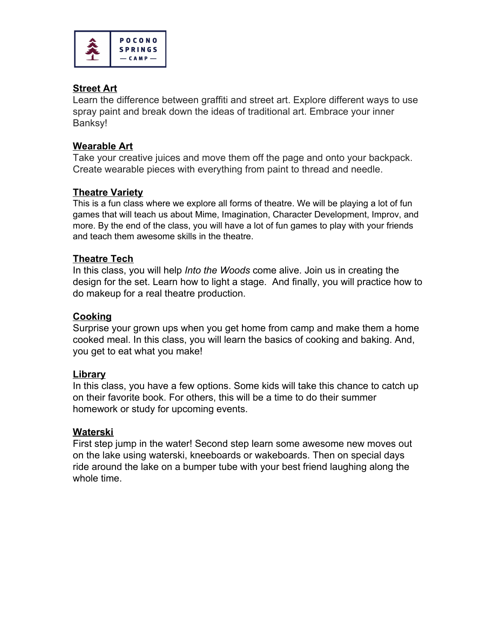

#### **Street Art**

Learn the difference between graffiti and street art. Explore different ways to use spray paint and break down the ideas of traditional art. Embrace your inner Banksy!

#### **Wearable Art**

Take your creative juices and move them off the page and onto your backpack. Create wearable pieces with everything from paint to thread and needle.

#### **Theatre Variety**

This is a fun class where we explore all forms of theatre. We will be playing a lot of fun games that will teach us about Mime, Imagination, Character Development, Improv, and more. By the end of the class, you will have a lot of fun games to play with your friends and teach them awesome skills in the theatre.

#### **Theatre Tech**

In this class, you will help *Into the Woods* come alive. Join us in creating the design for the set. Learn how to light a stage. And finally, you will practice how to do makeup for a real theatre production.

#### **Cooking**

Surprise your grown ups when you get home from camp and make them a home cooked meal. In this class, you will learn the basics of cooking and baking. And, you get to eat what you make!

#### **Library**

In this class, you have a few options. Some kids will take this chance to catch up on their favorite book. For others, this will be a time to do their summer homework or study for upcoming events.

#### **Waterski**

First step jump in the water! Second step learn some awesome new moves out on the lake using waterski, kneeboards or wakeboards. Then on special days ride around the lake on a bumper tube with your best friend laughing along the whole time.